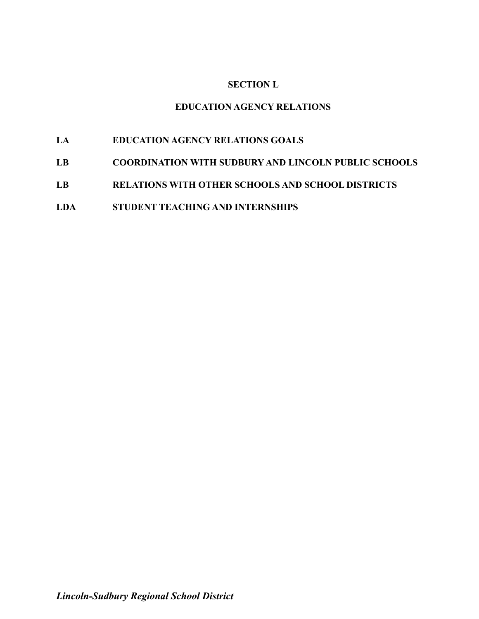# **SECTION L**

# **EDUCATION AGENCY RELATIONS**

- **LA EDUCATION AGENCY RELATIONS GOALS**
- **LB COORDINATION WITH SUDBURY AND LINCOLN PUBLIC SCHOOLS**
- **LB RELATIONS WITH OTHER SCHOOLS AND SCHOOL DISTRICTS**
- **LDA STUDENT TEACHING AND INTERNSHIPS**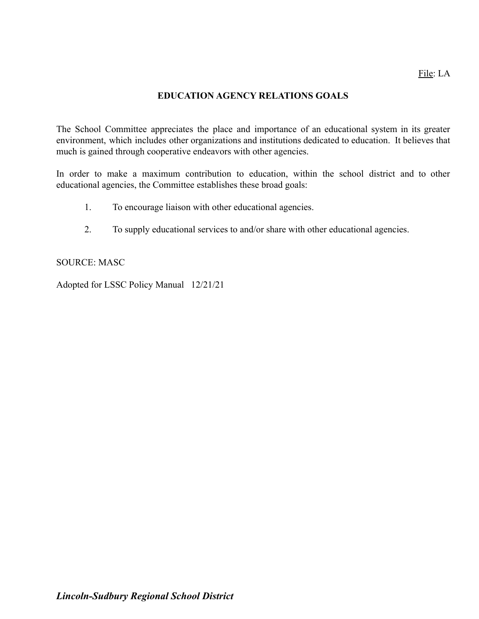### File: LA

### **EDUCATION AGENCY RELATIONS GOALS**

The School Committee appreciates the place and importance of an educational system in its greater environment, which includes other organizations and institutions dedicated to education. It believes that much is gained through cooperative endeavors with other agencies.

In order to make a maximum contribution to education, within the school district and to other educational agencies, the Committee establishes these broad goals:

- 1. To encourage liaison with other educational agencies.
- 2. To supply educational services to and/or share with other educational agencies.

#### SOURCE: MASC

Adopted for LSSC Policy Manual 12/21/21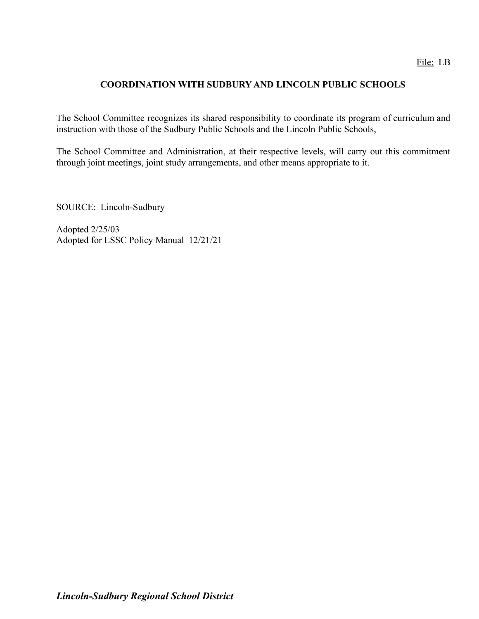# **COORDINATION WITH SUDBURY AND LINCOLN PUBLIC SCHOOLS**

The School Committee recognizes its shared responsibility to coordinate its program of curriculum and instruction with those of the Sudbury Public Schools and the Lincoln Public Schools,

The School Committee and Administration, at their respective levels, will carry out this commitment through joint meetings, joint study arrangements, and other means appropriate to it.

SOURCE: Lincoln-Sudbury

Adopted 2/25/03 Adopted for LSSC Policy Manual 12/21/21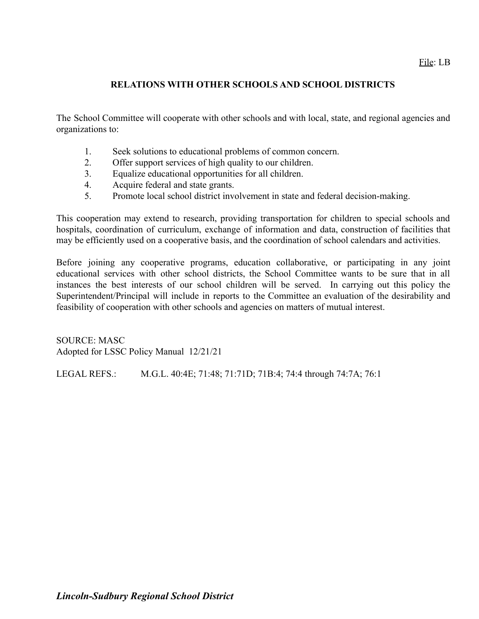# **RELATIONS WITH OTHER SCHOOLS AND SCHOOL DISTRICTS**

The School Committee will cooperate with other schools and with local, state, and regional agencies and organizations to:

- 1. Seek solutions to educational problems of common concern.
- 2. Offer support services of high quality to our children.
- 3. Equalize educational opportunities for all children.
- 4. Acquire federal and state grants.
- 5. Promote local school district involvement in state and federal decision-making.

This cooperation may extend to research, providing transportation for children to special schools and hospitals, coordination of curriculum, exchange of information and data, construction of facilities that may be efficiently used on a cooperative basis, and the coordination of school calendars and activities.

Before joining any cooperative programs, education collaborative, or participating in any joint educational services with other school districts, the School Committee wants to be sure that in all instances the best interests of our school children will be served. In carrying out this policy the Superintendent/Principal will include in reports to the Committee an evaluation of the desirability and feasibility of cooperation with other schools and agencies on matters of mutual interest.

SOURCE: MASC Adopted for LSSC Policy Manual 12/21/21

LEGAL REFS.: M.G.L. 40:4E; 71:48; 71:71D; 71B:4; 74:4 through 74:7A; 76:1